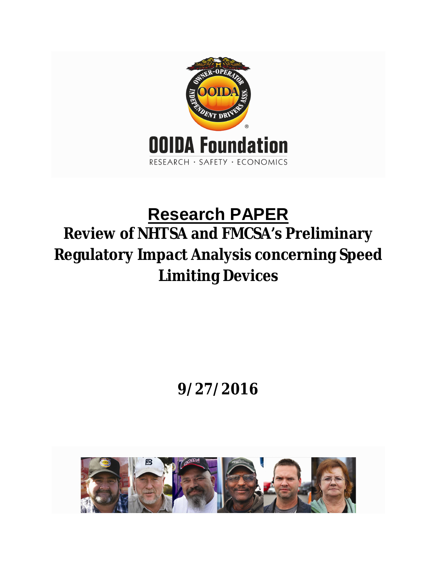

# **Research PAPER Review of NHTSA and FMCSA's Preliminary Regulatory Impact Analysis concerning Speed Limiting Devices**

# **9/27/2016**

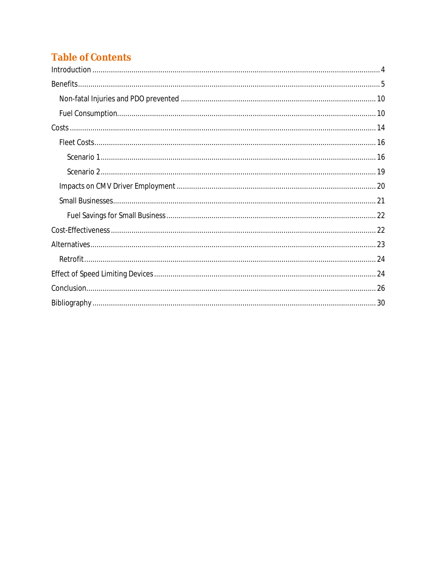# **Table of Contents**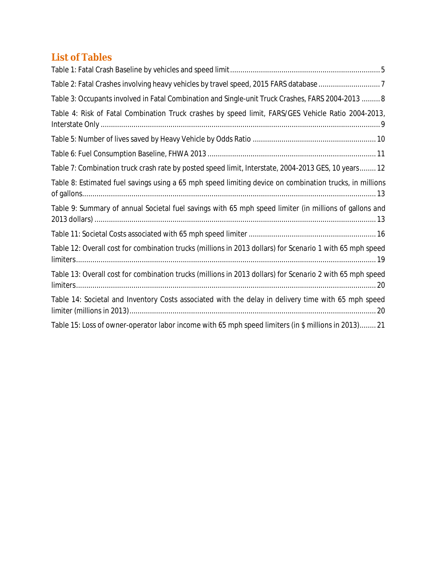# **List of Tables**

| Table 2: Fatal Crashes involving heavy vehicles by travel speed, 2015 FARS database 7                     |
|-----------------------------------------------------------------------------------------------------------|
| Table 3: Occupants involved in Fatal Combination and Single-unit Truck Crashes, FARS 2004-2013  8         |
| Table 4: Risk of Fatal Combination Truck crashes by speed limit, FARS/GES Vehicle Ratio 2004-2013,        |
|                                                                                                           |
|                                                                                                           |
| Table 7: Combination truck crash rate by posted speed limit, Interstate, 2004-2013 GES, 10 years 12       |
| Table 8: Estimated fuel savings using a 65 mph speed limiting device on combination trucks, in millions   |
| Table 9: Summary of annual Societal fuel savings with 65 mph speed limiter (in millions of gallons and    |
|                                                                                                           |
| Table 12: Overall cost for combination trucks (millions in 2013 dollars) for Scenario 1 with 65 mph speed |
| Table 13: Overall cost for combination trucks (millions in 2013 dollars) for Scenario 2 with 65 mph speed |
| Table 14: Societal and Inventory Costs associated with the delay in delivery time with 65 mph speed       |
| Table 15: Loss of owner-operator labor income with 65 mph speed limiters (in \$ millions in 2013) 21      |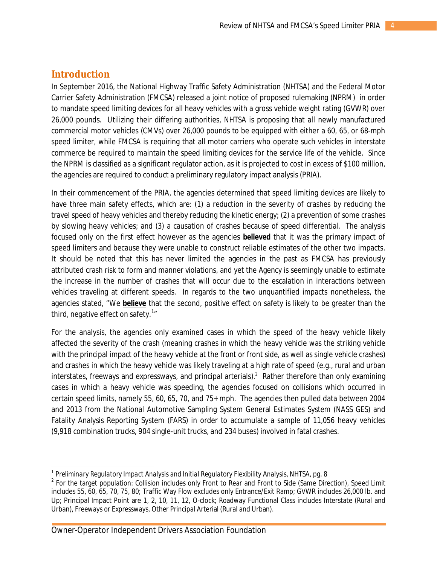### **Introduction**

 $\overline{a}$ 

In September 2016, the National Highway Traffic Safety Administration (NHTSA) and the Federal Motor Carrier Safety Administration (FMCSA) released a joint notice of proposed rulemaking (NPRM) in order to mandate speed limiting devices for all heavy vehicles with a gross vehicle weight rating (GVWR) over 26,000 pounds. Utilizing their differing authorities, NHTSA is proposing that all newly manufactured commercial motor vehicles (CMVs) over 26,000 pounds to be equipped with either a 60, 65, or 68-mph speed limiter, while FMCSA is requiring that all motor carriers who operate such vehicles in interstate commerce be required to maintain the speed limiting devices for the service life of the vehicle. Since the NPRM is classified as a significant regulator action, as it is projected to cost in excess of \$100 million, the agencies are required to conduct a preliminary regulatory impact analysis (PRIA).

In their commencement of the PRIA, the agencies determined that speed limiting devices are likely to have three main safety effects, which are: (1) a reduction in the severity of crashes by reducing the travel speed of heavy vehicles and thereby reducing the kinetic energy; (2) a prevention of some crashes by slowing heavy vehicles; and (3) a causation of crashes because of speed differential. The analysis focused only on the first effect however as the agencies *believed* that it was the primary impact of speed limiters and because they were unable to construct reliable estimates of the other two impacts. It should be noted that this has never limited the agencies in the past as FMCSA has previously attributed crash risk to form and manner violations, and yet the Agency is seemingly unable to estimate the increase in the number of crashes that will occur due to the escalation in interactions between vehicles traveling at different speeds. In regards to the two unquantified impacts nonetheless, the agencies stated, "We *believe* that the second, positive effect on safety is likely to be greater than the third, negative effect on safety. $^{1}$ "

For the analysis, the agencies only examined cases in which the speed of the heavy vehicle likely affected the severity of the crash (meaning crashes in which the heavy vehicle was the striking vehicle with the principal impact of the heavy vehicle at the front or front side, as well as single vehicle crashes) and crashes in which the heavy vehicle was likely traveling at a high rate of speed (e.g., rural and urban interstates, freeways and expressways, and principal arterials).<sup>2</sup> Rather therefore than only examining cases in which a heavy vehicle was speeding, the agencies focused on collisions which occurred in certain speed limits, namely 55, 60, 65, 70, and 75+ mph. The agencies then pulled data between 2004 and 2013 from the National Automotive Sampling System General Estimates System (NASS GES) and Fatality Analysis Reporting System (FARS) in order to accumulate a sample of 11,056 heavy vehicles (9,918 combination trucks, 904 single-unit trucks, and 234 buses) involved in fatal crashes.

<sup>&</sup>lt;sup>1</sup> Preliminary Regulatory Impact Analysis and Initial Regulatory Flexibility Analysis, NHTSA, pg. 8

<sup>&</sup>lt;sup>2</sup> For the target population: Collision includes only Front to Rear and Front to Side (Same Direction), Speed Limit includes 55, 60, 65, 70, 75, 80; Traffic Way Flow excludes only Entrance/Exit Ramp; GVWR includes 26,000 lb. and Up; Principal Impact Point are 1, 2, 10, 11, 12, O-clock; Roadway Functional Class includes Interstate (Rural and Urban), Freeways or Expressways, Other Principal Arterial (Rural and Urban).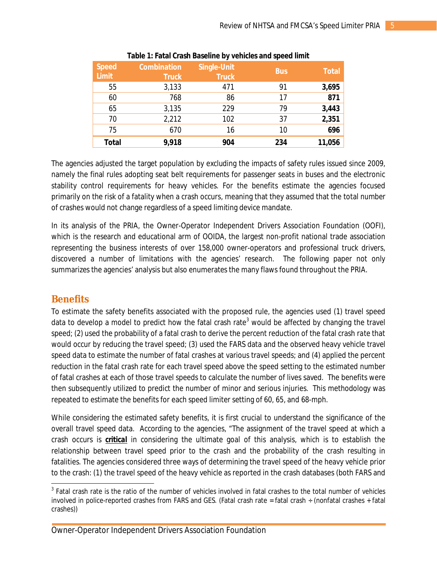| <b>Speed</b><br><b>Limit</b> | <b>Combination</b><br><b>Truck</b> | Single-Unit<br><b>Truck</b> | <b>Bus</b> | <b>Total</b> |
|------------------------------|------------------------------------|-----------------------------|------------|--------------|
| 55                           | 3,133                              | 471                         | 91         | 3,695        |
| 60                           | 768                                | 86                          | 17         | 871          |
| 65                           | 3,135                              | 229                         | 79         | 3,443        |
| 70                           | 2,212                              | 102                         | 37         | 2,351        |
| 75                           | 670                                | 16                          | 10         | 696          |
| <b>Total</b>                 | 9,918                              | 904                         | 234        | 11,056       |

#### **Table 1: Fatal Crash Baseline by vehicles and speed limit**

The agencies adjusted the target population by excluding the impacts of safety rules issued since 2009, namely the final rules adopting seat belt requirements for passenger seats in buses and the electronic stability control requirements for heavy vehicles. For the benefits estimate the agencies focused primarily on the risk of a fatality when a crash occurs, meaning that they assumed that the total *number* of crashes would not change regardless of a speed limiting device mandate.

In its analysis of the PRIA, the Owner-Operator Independent Drivers Association Foundation (OOFI), which is the research and educational arm of OOIDA, the largest non-profit national trade association representing the business interests of over 158,000 owner-operators and professional truck drivers, discovered a number of limitations with the agencies' research. The following paper not only summarizes the agencies' analysis but also enumerates the many flaws found throughout the PRIA.

# **Benefits**

 $\overline{a}$ 

To estimate the safety benefits associated with the proposed rule, the agencies used (1) travel speed data to develop a model to predict how the fatal crash rate<sup>3</sup> would be affected by changing the travel speed; (2) used the probability of a fatal crash to derive the percent reduction of the fatal crash *rate* that would occur by reducing the travel speed; (3) used the FARS data and the observed heavy vehicle travel speed data to estimate the number of fatal crashes at various travel speeds; and (4) applied the percent reduction in the fatal crash rate for each travel speed above the speed setting to the estimated number of fatal crashes at each of those travel speeds to calculate the number of lives saved. The benefits were then subsequently utilized to predict the number of minor and serious injuries. This methodology was repeated to estimate the benefits for each speed limiter setting of 60, 65, and 68-mph.

While considering the estimated safety benefits, it is first crucial to understand the significance of the overall travel speed data. According to the agencies, "The assignment of the travel speed at which a crash occurs is *critical* in considering the ultimate goal of this analysis, which is to establish the relationship between travel speed prior to the crash and the probability of the crash resulting in fatalities. The agencies considered three ways of determining the travel speed of the heavy vehicle prior to the crash: (1) the travel speed of the heavy vehicle as reported in the crash databases (both FARS and

<sup>&</sup>lt;sup>3</sup> Fatal crash rate is the ratio of the number of vehicles involved in fatal crashes to the total number of vehicles involved in police-reported crashes from FARS and GES. (Fatal crash rate = fatal crash  $\div$  (nonfatal crashes + fatal crashes))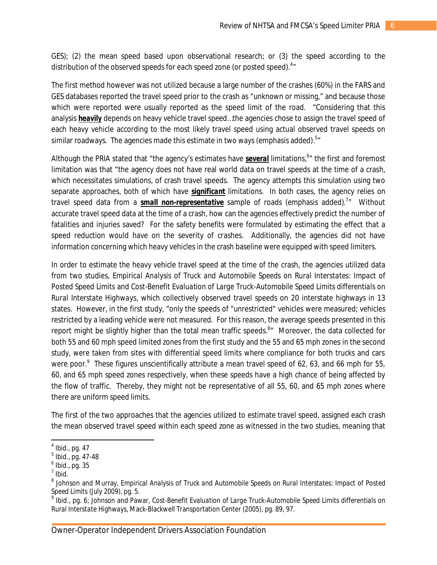GES); (2) the mean speed based upon observational research; or (3) the speed according to the distribution of the observed speeds for each speed zone (or posted speed). $4\pi$ 

The first method however was not utilized because a large number of the crashes (60%) in the FARS and GES databases reported the travel speed prior to the crash as "unknown or missing," and because those which were reported were usually reported as the speed limit of the road. "Considering that this analysis *heavily* depends on heavy vehicle travel speed…the agencies chose to assign the travel speed of each heavy vehicle according to the most likely travel speed using actual observed travel speeds on similar roadways. The agencies made this estimate in two ways (emphasis added). $^{\mathbf{5} \mathit{''}}$ 

Although the PRIA stated that "the agency's estimates have several limitations,  $^{6}$ " the first and foremost limitation was that "the agency does not have real world data on travel speeds at the time of a crash, which necessitates simulations, of crash travel speeds. The agency attempts this simulation using two separate approaches, both of which have *significant* limitations. In both cases, the agency relies on travel speed data from a *small non-representative* sample of roads (emphasis added).<sup>7</sup>" Without accurate travel speed data at the time of a crash, how can the agencies effectively predict the number of fatalities and injuries saved? For the safety benefits were formulated by estimating the effect that a speed reduction would have on the severity of crashes. Additionally, the agencies did not have information concerning which heavy vehicles in the crash baseline were equipped with speed limiters.

In order to estimate the heavy vehicle travel speed at the time of the crash, the agencies utilized data from two studies, *Empirical Analysis of Truck and Automobile Speeds on Rural Interstates: Impact of Posted Speed Limits* and *Cost-Benefit Evaluation of Large Truck-Automobile Speed Limits differentials on Rural Interstate Highways*, which collectively observed travel speeds on 20 interstate highways in 13 states. However, in the first study, "only the speeds of "unrestricted" vehicles were measured; vehicles restricted by a leading vehicle were not measured. For this reason, the average speeds presented in this report might be slightly higher than the total mean traffic speeds.<sup>8</sup>" Moreover, the data collected for both 55 and 60 mph speed limited zones from the first study and the 55 and 65 mph zones in the second study, were taken from sites with differential speed limits where compliance for both trucks and cars were poor.<sup>9</sup> These figures unscientifically attribute a mean travel speed of 62, 63, and 66 mph for 55, 60, and 65 mph speed zones respectively, when these speeds have a high chance of being affected by the flow of traffic. Thereby, they might not be representative of all 55, 60, and 65 mph zones where there are uniform speed limits.

The first of the two approaches that the agencies utilized to estimate travel speed, assigned each crash the mean observed travel speed within each speed zone as witnessed in the two studies, meaning that

 $\overline{a}$ 4 Ibid., pg. 47

<sup>&</sup>lt;sup>5</sup> Ibid., pg. 47-48

 $^6$  Ibid., pg. 35

 $<sup>7</sup>$  Ibid.</sup>

<sup>8</sup> Johnson and Murray, *Empirical Analysis of Truck and Automobile Speeds on Rural Interstates: Impact of Posted* 

*Speed Limits* (July 2009), pg. 5. 9 Ibid., pg. 6; Johnson and Pawar, *Cost-Benefit Evaluation of Large Truck-Automobile Speed Limits differentials on Rural Interstate Highways*, Mack-Blackwell Transportation Center (2005), pg. 89, 97.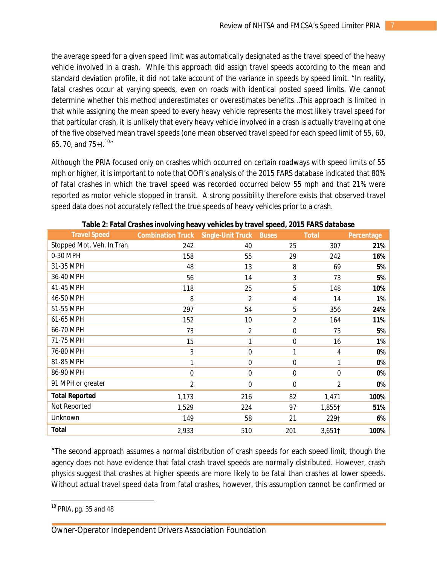the average speed for a given speed limit was automatically designated as the travel speed of the heavy vehicle involved in a crash. While this approach did assign travel speeds according to the mean and standard deviation profile, it did not take account of the variance in speeds by speed limit. "In reality, fatal crashes occur at varying speeds, even on roads with identical posted speed limits. We cannot determine whether this method underestimates or overestimates benefits…This approach is limited in that while assigning the mean speed to every heavy vehicle represents the most likely travel speed for that particular crash, it is unlikely that every heavy vehicle involved in a crash is actually traveling at one of the five observed mean travel speeds (one mean observed travel speed for each speed limit of 55, 60, 65, 70, and  $75+$ ).  $10<sup>n</sup>$ 

Although the PRIA focused only on crashes which occurred on certain roadways with speed limits of 55 mph or higher, it is important to note that OOFI's analysis of the 2015 FARS database indicated that 80% of fatal crashes in which the travel speed was recorded occurred below 55 mph and that 21% were reported as motor vehicle stopped in transit. A strong possibility therefore exists that observed travel speed data does not accurately reflect the true speeds of heavy vehicles prior to a crash.

|                            | J                        |                          |                  |                |            |
|----------------------------|--------------------------|--------------------------|------------------|----------------|------------|
| <b>Travel Speed</b>        | <b>Combination Truck</b> | <b>Single-Unit Truck</b> | <b>Buses</b>     | <b>Total</b>   | Percentage |
| Stopped Mot. Veh. In Tran. | 242                      | 40                       | 25               | 307            | 21%        |
| 0-30 MPH                   | 158                      | 55                       | 29               | 242            | 16%        |
| 31-35 MPH                  | 48                       | 13                       | 8                | 69             | 5%         |
| 36-40 MPH                  | 56                       | 14                       | 3                | 73             | 5%         |
| 41-45 MPH                  | 118                      | 25                       | 5                | 148            | 10%        |
| 46-50 MPH                  | 8                        | $\overline{2}$           | 4                | 14             | 1%         |
| 51-55 MPH                  | 297                      | 54                       | 5                | 356            | 24%        |
| 61-65 MPH                  | 152                      | 10                       | 2                | 164            | 11%        |
| 66-70 MPH                  | 73                       | $\overline{2}$           | $\boldsymbol{0}$ | 75             | 5%         |
| 71-75 MPH                  | 15                       | 1                        | $\mathbf 0$      | 16             | 1%         |
| 76-80 MPH                  | 3                        | $\mathbf 0$              | 1                | 4              | 0%         |
| 81-85 MPH                  | 1                        | $\mathbf 0$              | $\boldsymbol{0}$ | 1              | 0%         |
| 86-90 MPH                  | $\mathbf{0}$             | $\mathbf 0$              | $\boldsymbol{0}$ | $\mathbf 0$    | 0%         |
| 91 MPH or greater          | 2                        | $\mathbf 0$              | $\boldsymbol{0}$ | $\overline{2}$ | 0%         |
| <b>Total Reported</b>      | 1,173                    | 216                      | 82               | 1,471          | 100%       |
| Not Reported               | 1,529                    | 224                      | 97               | 1,855†         | 51%        |
| Unknown                    | 149                      | 58                       | 21               | 2291           | 6%         |
| <b>Total</b>               | 2,933                    | 510                      | 201              | 3,651          | 100%       |

| Table 2: Fatal Crashes involving heavy vehicles by travel speed, 2015 FARS database |  |  |
|-------------------------------------------------------------------------------------|--|--|
|-------------------------------------------------------------------------------------|--|--|

"The second approach assumes a normal distribution of crash speeds for each speed limit, though the agency does not have evidence that fatal crash travel speeds are normally distributed. However, crash physics suggest that crashes at higher speeds are more likely to be fatal than crashes at lower speeds. Without actual travel speed data from fatal crashes, however, this assumption cannot be confirmed or

 $\overline{a}$ <sup>10</sup> PRIA, pg. 35 and 48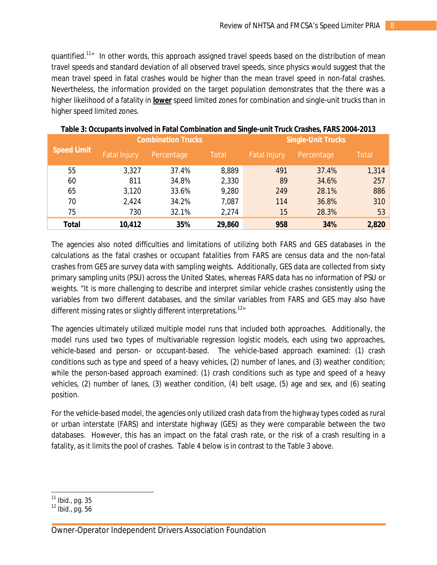quantified.<sup>11</sup>" In other words, this approach assigned travel speeds based on the distribution of mean travel speeds and standard deviation of all observed travel speeds, since physics would suggest that the mean travel speed in fatal crashes would be higher than the mean travel speed in non-fatal crashes. Nevertheless, the information provided on the target population demonstrates that the there was a higher likelihood of a fatality in *lower* speed limited zones for combination and single-unit trucks than in higher speed limited zones.

|                    |                     | <b>Combination Trucks</b> |              | <b>Single-Unit Trucks</b> |            |              |  |
|--------------------|---------------------|---------------------------|--------------|---------------------------|------------|--------------|--|
| <b>Speed Limit</b> | <b>Fatal Injury</b> | Percentage                | <b>Total</b> | <b>Fatal Injury</b>       | Percentage | <b>Total</b> |  |
| 55                 | 3,327               | 37.4%                     | 8,889        | 491                       | 37.4%      | 1,314        |  |
| 60                 | 811                 | 34.8%                     | 2,330        | 89                        | 34.6%      | 257          |  |
| 65                 | 3,120               | 33.6%                     | 9,280        | 249                       | 28.1%      | 886          |  |
| 70                 | 2,424               | 34.2%                     | 7,087        | 114                       | 36.8%      | 310          |  |
| 75                 | 730                 | 32.1%                     | 2,274        | 15                        | 28.3%      | 53           |  |
| Total              | 10,412              | 35%                       | 29,860       | 958                       | 34%        | 2,820        |  |

The agencies also noted difficulties and limitations of utilizing both FARS and GES databases in the calculations as the fatal crashes or occupant fatalities from FARS are census data and the non-fatal crashes from GES are survey data with sampling weights. Additionally, GES data are collected from sixty primary sampling units (PSU) across the United States, whereas FARS data has no information of PSU or weights. "It is more challenging to describe and interpret similar vehicle crashes consistently using the variables from two different databases, and the similar variables from FARS and GES may also have different missing rates or slightly different interpretations.<sup>12</sup><sup>*n*</sup>

The agencies ultimately utilized multiple model runs that included both approaches. Additionally, the model runs used two types of multivariable regression logistic models, each using two approaches, vehicle-based and person- or occupant-based. The vehicle-based approach examined: (1) crash conditions such as type and speed of a heavy vehicles, (2) number of lanes, and (3) weather condition; while the person-based approach examined: (1) crash conditions such as type and speed of a heavy vehicles, (2) number of lanes, (3) weather condition, (4) belt usage, (5) age and sex, and (6) seating position.

For the vehicle-based model, the agencies only utilized crash data from the highway types coded as rural or urban interstate (FARS) and interstate highway (GES) as they were comparable between the two databases. However, this has an impact on the fatal crash rate, or the risk of a crash resulting in a fatality, as it limits the pool of crashes. Table 4 below is in contrast to the Table 3 above.

Owner-Operator Independent Drivers Association Foundation

 $\overline{\phantom{a}}$  $^{11}$  Ibid., pg. 35

 $12$  Ibid., pg. 56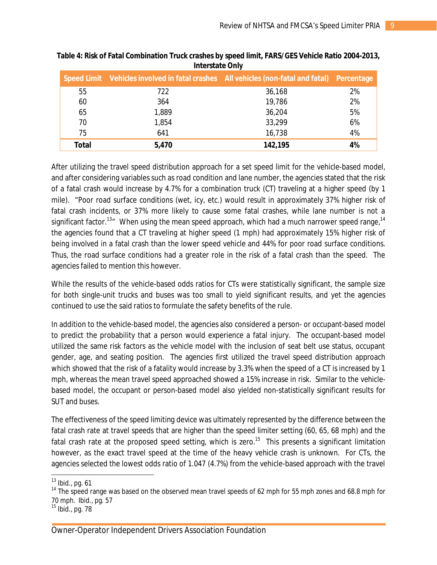|       | Speed Limit Vehicles involved in fatal crashes All vehicles (non-fatal and fatal) Percentage |         |    |
|-------|----------------------------------------------------------------------------------------------|---------|----|
| 55    | 722                                                                                          | 36,168  | 2% |
| 60    | 364                                                                                          | 19,786  | 2% |
| 65    | 1,889                                                                                        | 36,204  | 5% |
| 70    | 1,854                                                                                        | 33,299  | 6% |
| 75    | 641                                                                                          | 16,738  | 4% |
| Total | 5,470                                                                                        | 142,195 | 4% |

#### **Table 4: Risk of Fatal Combination Truck crashes by speed limit, FARS/GES Vehicle Ratio 2004-2013, Interstate Only**

After utilizing the travel speed distribution approach for a set speed limit for the vehicle-based model, and after considering variables such as road condition and lane number, the agencies stated that the risk of a fatal crash would increase by 4.7% for a combination truck (CT) traveling at a higher speed (by 1 mile). "Poor road surface conditions (wet, icy, etc.) would result in approximately 37% higher risk of fatal crash incidents, or 37% more likely to cause some fatal crashes, while lane number is not a significant factor.<sup>13</sup><sup>"</sup> When using the mean speed approach, which had a much narrower speed range,<sup>14</sup> the agencies found that a CT traveling at higher speed (1 mph) had approximately 15% higher risk of being involved in a fatal crash than the lower speed vehicle and 44% for poor road surface conditions. Thus, the road surface conditions had a greater role in the risk of a fatal crash than the speed. The agencies failed to mention this however.

While the results of the vehicle-based odds ratios for CTs were statistically significant, the sample size for both single-unit trucks and buses was too small to yield significant results, and yet the agencies continued to use the said ratios to formulate the safety benefits of the rule.

In addition to the vehicle-based model, the agencies also considered a person- or occupant-based model to predict the probability that a person would experience a fatal injury. The occupant-based model utilized the same risk factors as the vehicle model with the inclusion of seat belt use status, occupant gender, age, and seating position. The agencies first utilized the travel speed distribution approach which showed that the risk of a fatality would increase by 3.3% when the speed of a CT is increased by 1 mph, whereas the mean travel speed approached showed a 15% increase in risk. Similar to the vehiclebased model, the occupant or person-based model also yielded non-statistically significant results for SUT and buses.

The effectiveness of the speed limiting device was ultimately represented by the difference between the fatal crash rate at travel speeds that are higher than the speed limiter setting (60, 65, 68 mph) and the fatal crash rate at the proposed speed setting, which is zero.<sup>15</sup> This presents a significant limitation however, as the exact travel speed at the time of the heavy vehicle crash is unknown. For CTs, the agencies selected the lowest odds ratio of 1.047 (4.7%) from the vehicle-based approach with the travel

 $\overline{a}$  $13$  Ibid., pg. 61

<sup>&</sup>lt;sup>14</sup> The speed range was based on the observed mean travel speeds of 62 mph for 55 mph zones and 68.8 mph for 70 mph. Ibid., pg. 57

<sup>&</sup>lt;sup>15</sup> Ibid., pg. 78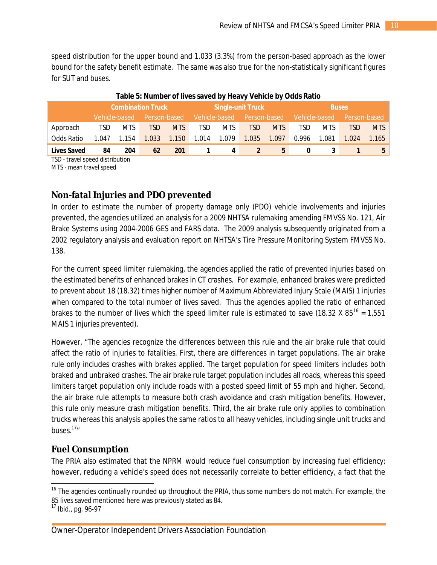speed distribution for the upper bound and 1.033 (3.3%) from the person-based approach as the lower bound for the safety benefit estimate. The same was also true for the non-statistically significant figures for SUT and buses.

|                    |            |               | <b>Combination Truck</b> |            | <b>Single-unit Truck</b> |            |                            |            | <b>Buses</b>  |            |              |       |
|--------------------|------------|---------------|--------------------------|------------|--------------------------|------------|----------------------------|------------|---------------|------------|--------------|-------|
|                    |            | Vehicle-based | Person-based             |            |                          |            | Vehicle-based Person-based |            | Vehicle-based |            | Person-based |       |
| Approach           | <b>TSD</b> | <b>MTS</b>    | <b>TSD</b>               | <b>MTS</b> | TSD                      | <b>MTS</b> | <b>TSD</b>                 | <b>MTS</b> | TSD           | <b>MTS</b> | TSD          | MTS   |
| Odds Ratio         | 1.047      | 1.154         | 1.033                    | 1.150      | 1.014                    | 1.079      | 1.035                      | 1.097      | 0.996         | 1.081      | 1.024        | 1.165 |
| <b>Lives Saved</b> | 84         | 204           | 62                       | 201        |                          | 4          |                            | 5          | 0             |            |              |       |

#### **Table 5: Number of lives saved by Heavy Vehicle by Odds Ratio**

TSD - travel speed distribution

MTS - mean travel speed

## **Non-fatal Injuries and PDO prevented**

In order to estimate the number of property damage only (PDO) vehicle involvements and injuries prevented, the agencies utilized an analysis for a 2009 NHTSA rulemaking amending FMVSS No. 121, Air Brake Systems using 2004-2006 GES and FARS data. The 2009 analysis subsequently originated from a 2002 regulatory analysis and evaluation report on NHTSA's Tire Pressure Monitoring System FMVSS No. 138.

For the current speed limiter rulemaking, the agencies applied the ratio of prevented injuries based on the estimated benefits of enhanced brakes in CT crashes. For example, enhanced brakes were predicted to prevent about 18 (18.32) times higher number of Maximum Abbreviated Injury Scale (MAIS) 1 injuries when compared to the total number of lives saved. Thus the agencies applied the ratio of enhanced brakes to the number of lives which the speed limiter rule is estimated to save (18.32 X 85<sup>16</sup> = 1,551 MAIS 1 injuries prevented).

However, "The agencies recognize the differences between this rule and the air brake rule that could affect the ratio of injuries to fatalities. First, there are differences in target populations. The air brake rule only includes crashes with brakes applied. The target population for speed limiters includes both braked and unbraked crashes. The air brake rule target population includes all roads, whereas this speed limiters target population only include roads with a posted speed limit of 55 mph and higher. Second, the air brake rule attempts to measure both crash avoidance and crash mitigation benefits. However, this rule only measure crash mitigation benefits. Third, the air brake rule only applies to combination trucks whereas this analysis applies the same ratios to all heavy vehicles, including single unit trucks and buses. $17"$ 

### **Fuel Consumption**

The PRIA also estimated that the NPRM would reduce fuel consumption by increasing fuel efficiency; however, reducing a vehicle's speed does not necessarily correlate to better efficiency, a fact that the

 $\overline{a}$ 

<sup>&</sup>lt;sup>16</sup> The agencies continually rounded up throughout the PRIA, thus some numbers do not match. For example, the 85 lives saved mentioned here was previously stated as 84.

<sup>17</sup> Ibid., pg. 96-97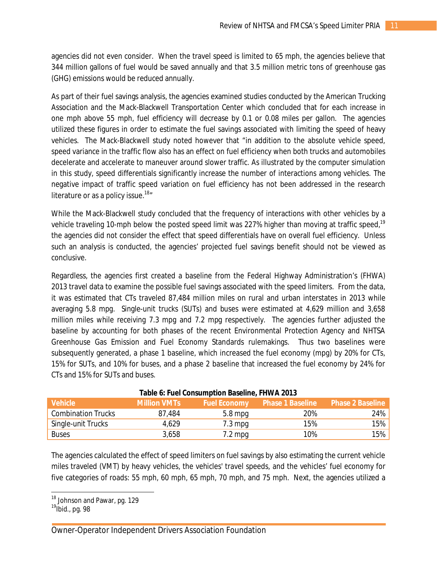agencies did not even consider. When the travel speed is limited to 65 mph, the agencies believe that 344 million gallons of fuel would be saved annually and that 3.5 million metric tons of greenhouse gas (GHG) emissions would be reduced annually.

As part of their fuel savings analysis, the agencies examined studies conducted by the American Trucking Association and the Mack-Blackwell Transportation Center which concluded that for each increase in one mph above 55 mph, fuel efficiency will decrease by 0.1 or 0.08 miles per gallon. The agencies utilized these figures in order to estimate the fuel savings associated with limiting the speed of heavy vehicles. The Mack-Blackwell study noted however that "in addition to the absolute vehicle speed, speed variance in the traffic flow also has an effect on fuel efficiency when both trucks and automobiles decelerate and accelerate to maneuver around slower traffic. As illustrated by the computer simulation in this study, speed differentials significantly increase the number of interactions among vehicles. The negative impact of traffic speed variation on fuel efficiency has not been addressed in the research literature or as a policy issue.<sup>18</sup>"

While the Mack-Blackwell study concluded that the frequency of interactions with other vehicles by a vehicle traveling 10-mph below the posted speed limit was 227% higher than moving at traffic speed,<sup>19</sup> the agencies did not consider the effect that speed differentials have on overall fuel efficiency. Unless such an analysis is conducted, the agencies' projected fuel savings benefit should not be viewed as conclusive.

Regardless, the agencies first created a baseline from the Federal Highway Administration's (FHWA) 2013 travel data to examine the possible fuel savings associated with the speed limiters. From the data, it was estimated that CTs traveled 87,484 million miles on rural and urban interstates in 2013 while averaging 5.8 mpg. Single-unit trucks (SUTs) and buses were estimated at 4,629 million and 3,658 million miles while receiving 7.3 mpg and 7.2 mpg respectively. The agencies further adjusted the baseline by accounting for both phases of the recent Environmental Protection Agency and NHTSA Greenhouse Gas Emission and Fuel Economy Standards rulemakings. Thus two baselines were subsequently generated, a phase 1 baseline, which increased the fuel economy (mpg) by 20% for CTs, 15% for SUTs, and 10% for buses, and a phase 2 baseline that increased the fuel economy by 24% for CTs and 15% for SUTs and buses.

|                           |                     | Table 0. Taci consumption basemic, international |                                      |                         |
|---------------------------|---------------------|--------------------------------------------------|--------------------------------------|-------------------------|
| <b>Vehicle</b>            | <b>Million VMTs</b> |                                                  | <b>Fuel Economy</b> Phase 1 Baseline | <b>Phase 2 Baseline</b> |
| <b>Combination Trucks</b> | 87.484              | $5.8$ mpg                                        | 20%                                  | 24%                     |
| Single-unit Trucks        | 4,629               | $7.3 \,\mathrm{mpq}$                             | 15%                                  | 15%                     |
| <b>Buses</b>              | 3,658               | 7.2 mpg                                          | 10%                                  | 15%                     |

#### **Table 6: Fuel Consumption Baseline, FHWA 2013**

The agencies calculated the effect of speed limiters on fuel savings by also estimating the current vehicle miles traveled (VMT) by heavy vehicles, the vehicles' travel speeds, and the vehicles' fuel economy for five categories of roads: 55 mph, 60 mph, 65 mph, 70 mph, and 75 mph. Next, the agencies utilized a

 $\overline{\phantom{a}}$ 

<sup>&</sup>lt;sup>18</sup> Johnson and Pawar, pg. 129

<sup>&</sup>lt;sup>19</sup>Ibid., pg. 98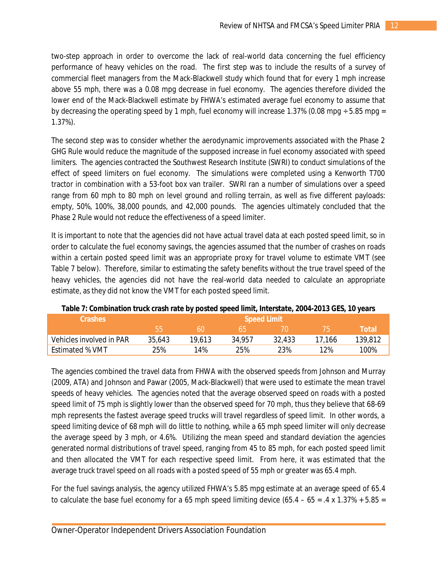two-step approach in order to overcome the lack of real-world data concerning the fuel efficiency performance of heavy vehicles on the road. The first step was to include the results of a *survey* of commercial fleet managers from the Mack-Blackwell study which found that for every 1 mph increase above 55 mph, there was a 0.08 mpg decrease in fuel economy. The agencies therefore divided the lower end of the Mack-Blackwell estimate by FHWA's estimated average fuel economy to assume that by decreasing the operating speed by 1 mph, fuel economy will increase 1.37% (0.08 mpg  $\pm$  5.85 mpg = 1.37%).

The second step was to consider whether the aerodynamic improvements associated with the Phase 2 GHG Rule would reduce the magnitude of the supposed increase in fuel economy associated with speed limiters. The agencies contracted the Southwest Research Institute (SWRI) to conduct simulations of the effect of speed limiters on fuel economy. The simulations were completed using a Kenworth T700 tractor in combination with a 53-foot box van trailer. SWRI ran a number of simulations over a speed range from 60 mph to 80 mph on level ground and rolling terrain, as well as five different payloads: empty, 50%, 100%, 38,000 pounds, and 42,000 pounds. The agencies ultimately concluded that the Phase 2 Rule would not reduce the effectiveness of a speed limiter.

It is important to note that the agencies did not have actual travel data at each posted speed limit, so in order to calculate the fuel economy savings, the agencies assumed that the number of crashes on roads within a certain posted speed limit was an appropriate proxy for travel volume to estimate VMT (see Table 7 below). Therefore, similar to estimating the safety benefits without the true travel speed of the heavy vehicles, the agencies did not have the real-world data needed to calculate an appropriate estimate, as they did not know the VMT for each posted speed limit.

| <b>Crashes</b>           | <b>Speed Limit</b> |        |        |        |            |         |  |
|--------------------------|--------------------|--------|--------|--------|------------|---------|--|
|                          | hh                 | 60     |        |        | $\sqrt{2}$ | Total   |  |
| Vehicles involved in PAR | 35,643             | 19.613 | 34.957 | 32,433 | 17.166     | 139,812 |  |
| Estimated % VMT          | 25%                | 14%    | 25%    | 23%    | 12%        | 100%    |  |

**Table 7: Combination truck crash rate by posted speed limit, Interstate, 2004-2013 GES, 10 years**

The agencies combined the travel data from FHWA with the observed speeds from Johnson and Murray (2009, ATA) and Johnson and Pawar (2005, Mack-Blackwell) that were used to estimate the mean travel speeds of heavy vehicles. The agencies noted that the average observed speed on roads with a posted speed limit of 75 mph is slightly lower than the observed speed for 70 mph, thus they believe that 68-69 mph represents the fastest average speed trucks will travel regardless of speed limit. In other words, a speed limiting device of 68 mph will do little to nothing, while a 65 mph speed limiter will only decrease the average speed by 3 mph, or 4.6%. Utilizing the mean speed and standard deviation the agencies generated normal distributions of travel speed, ranging from 45 to 85 mph, for each posted speed limit and then allocated the VMT for each respective speed limit. From here, it was estimated that the average truck travel speed on all roads with a posted speed of 55 mph or greater was 65.4 mph.

For the fuel savings analysis, the agency utilized FHWA's 5.85 mpg estimate at an average speed of 65.4 to calculate the base fuel economy for a 65 mph speed limiting device  $(65.4 - 65 = .4 \times 1.37\% + 5.85 =$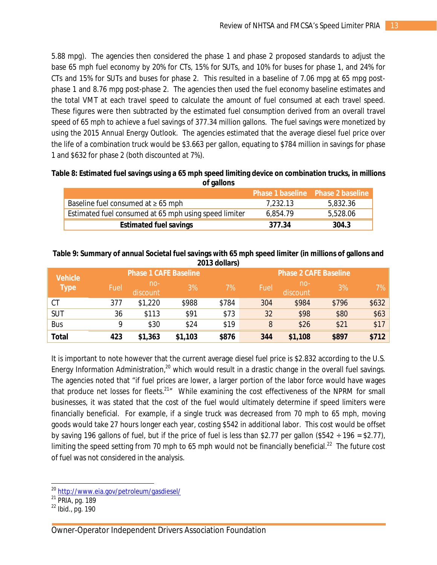5.88 mpg). The agencies then considered the phase 1 and phase 2 proposed standards to adjust the base 65 mph fuel economy by 20% for CTs, 15% for SUTs, and 10% for buses for phase 1, and 24% for CTs and 15% for SUTs and buses for phase 2. This resulted in a baseline of 7.06 mpg at 65 mpg postphase 1 and 8.76 mpg post-phase 2. The agencies then used the fuel economy baseline estimates and the total VMT at each travel speed to calculate the amount of fuel consumed at each travel speed. These figures were then subtracted by the estimated fuel consumption derived from an overall travel speed of 65 mph to achieve a fuel savings of 377.34 million gallons. The fuel savings were monetized by using the 2015 Annual Energy Outlook. The agencies estimated that the average diesel fuel price over the life of a combination truck would be \$3.663 per gallon, equating to \$784 million in savings for phase 1 and \$632 for phase 2 (both discounted at 7%).

| Table 8: Estimated fuel savings using a 65 mph speed limiting device on combination trucks, in millions |
|---------------------------------------------------------------------------------------------------------|
| of gallons                                                                                              |

|                                                       | <b>Phase 1 baseline Phase 2 baseline</b> |          |
|-------------------------------------------------------|------------------------------------------|----------|
| Baseline fuel consumed at $\geq 65$ mph               | 7.232.13                                 | 5,832.36 |
| Estimated fuel consumed at 65 mph using speed limiter | 6,854.79                                 | 5,528.06 |
| <b>Estimated fuel savings</b>                         | 377.34                                   | 304.3    |

|                |      |                              |         | <b>ZUTS QUIIQIS)</b> |      |                              |       |       |  |
|----------------|------|------------------------------|---------|----------------------|------|------------------------------|-------|-------|--|
| <b>Vehicle</b> |      | <b>Phase 1 CAFE Baseline</b> |         |                      |      | <b>Phase 2 CAFE Baseline</b> |       |       |  |
| <b>Type</b>    | Fuel | $no-$<br>discount            | 3%      | 7%                   | Fuel | $no-$<br>discount            | 3%    | 7%    |  |
| CT             | 377  | \$1,220                      | \$988   | \$784                | 304  | \$984                        | \$796 | \$632 |  |
| <b>SUT</b>     | 36   | \$113                        | \$91    | \$73                 | 32   | \$98                         | \$80  | \$63  |  |
| <b>Bus</b>     | Q    | \$30                         | \$24    | \$19                 | 8    | \$26                         | \$21  | \$17  |  |
| <b>Total</b>   | 423  | \$1,363                      | \$1,103 | \$876                | 344  | \$1,108                      | \$897 | \$712 |  |

#### **Table 9: Summary of annual Societal fuel savings with 65 mph speed limiter (in millions of gallons and 2013 dollars)**

It is important to note however that the current average diesel fuel price is \$2.832 according to the U.S. Energy Information Administration,<sup>20</sup> which would result in a drastic change in the overall fuel savings. The agencies noted that "if fuel prices are lower, a larger portion of the labor force would have wages that produce net losses for fleets.<sup>21</sup><sup>"</sup> While examining the cost effectiveness of the NPRM for small businesses, it was stated that the cost of the fuel would ultimately determine if speed limiters were financially beneficial. For example, if a single truck was decreased from 70 mph to 65 mph, moving goods would take 27 hours longer each year, costing \$542 in additional labor. This cost would be offset by saving 196 gallons of fuel, but if the price of fuel is less than \$2.77 per gallon (\$542  $\div$  196 = \$2.77), limiting the speed setting from 70 mph to 65 mph would not be financially beneficial.<sup>22</sup> The future cost of fuel was not considered in the analysis.

 $\overline{a}$ <sup>20</sup> <http://www.eia.gov/petroleum/gasdiesel/>

<sup>&</sup>lt;sup>21</sup> PRIA, pg. 189

 $22$  Ibid., pg. 190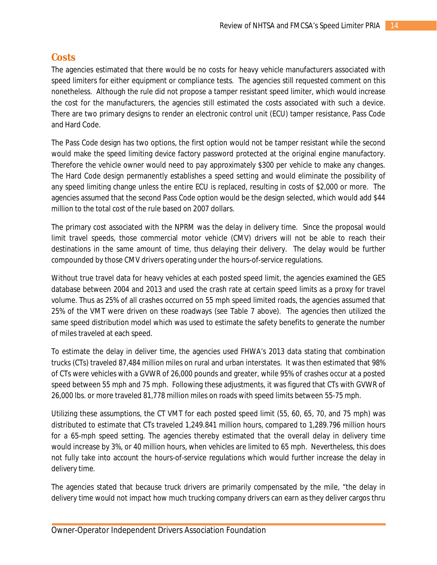## **Costs**

The agencies estimated that there would be no costs for heavy vehicle manufacturers associated with speed limiters for either equipment or compliance tests. The agencies still requested comment on this nonetheless. Although the rule did not propose a tamper resistant speed limiter, which would increase the cost for the manufacturers, the agencies still estimated the costs associated with such a device. There are two primary designs to render an electronic control unit (ECU) tamper resistance, Pass Code and Hard Code.

The Pass Code design has two options, the first option would not be tamper resistant while the second would make the speed limiting device factory password protected at the original engine manufactory. Therefore the vehicle owner would need to pay approximately \$300 per vehicle to make any changes. The Hard Code design permanently establishes a speed setting and would eliminate the possibility of any speed limiting change unless the entire ECU is replaced, resulting in costs of \$2,000 or more. The agencies assumed that the second Pass Code option would be the design selected, which would add \$44 million to the total cost of the rule based on 2007 dollars.

The primary cost associated with the NPRM was the delay in delivery time. Since the proposal would limit travel speeds, those commercial motor vehicle (CMV) drivers will not be able to reach their destinations in the same amount of time, thus delaying their delivery. The delay would be further compounded by those CMV drivers operating under the hours-of-service regulations.

Without true travel data for heavy vehicles at each posted speed limit, the agencies examined the GES database between 2004 and 2013 and used the crash rate at certain speed limits as a proxy for travel volume. Thus as 25% of all crashes occurred on 55 mph speed limited roads, the agencies assumed that 25% of the VMT were driven on these roadways (see Table 7 above). The agencies then utilized the same speed distribution model which was used to estimate the safety benefits to generate the number of miles traveled at each speed.

To estimate the delay in deliver time, the agencies used FHWA's 2013 data stating that combination trucks (CTs) traveled 87,484 million miles on rural and urban interstates. It was then estimated that 98% of CTs were vehicles with a GVWR of 26,000 pounds and greater, while 95% of crashes occur at a posted speed between 55 mph and 75 mph. Following these adjustments, it was figured that CTs with GVWR of 26,000 lbs. or more traveled 81,778 million miles on roads with speed limits between 55-75 mph.

Utilizing these assumptions, the CT VMT for each posted speed limit (55, 60, 65, 70, and 75 mph) was distributed to estimate that CTs traveled 1,249.841 million hours, compared to 1,289.796 million hours for a 65-mph speed setting. The agencies thereby estimated that the overall delay in delivery time would increase by 3%, or 40 million hours, when vehicles are limited to 65 mph. Nevertheless, this does not fully take into account the hours-of-service regulations which would further increase the delay in delivery time.

The agencies stated that because truck drivers are primarily compensated by the mile, "the delay in delivery time would not impact how much trucking company drivers can earn as they deliver cargos thru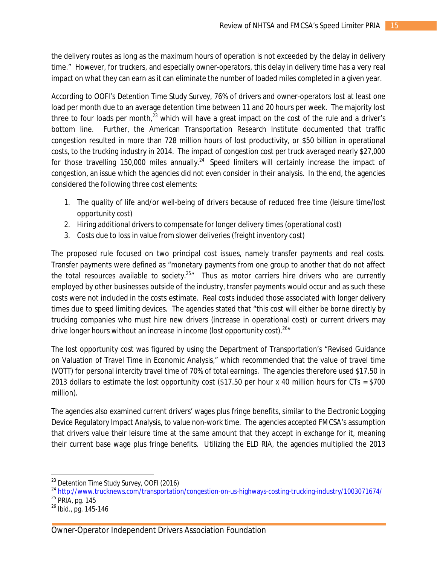the delivery routes as long as the maximum hours of operation is not exceeded by the delay in delivery time." However, for truckers, and especially owner-operators, this delay in delivery time has a very real impact on what they can earn as it can eliminate the number of loaded miles completed in a given year.

According to OOFI's *Detention Time Study Survey*, 76% of drivers and owner-operators lost at least one load per month due to an average detention time between 11 and 20 hours per week. The majority lost three to four loads per month, $^{23}$  which will have a great impact on the cost of the rule and a driver's bottom line. Further, the American Transportation Research Institute documented that traffic congestion resulted in more than 728 million hours of lost productivity, or \$50 billion in operational costs, to the trucking industry in 2014. The impact of congestion cost per truck averaged nearly \$27,000 for those travelling 150,000 miles annually.<sup>24</sup> Speed limiters will certainly increase the impact of congestion, an issue which the agencies did not even consider in their analysis. In the end, the agencies considered the following three cost elements:

- 1. The quality of life and/or well-being of drivers because of reduced free time (leisure time/lost opportunity cost)
- 2. Hiring additional drivers to compensate for longer delivery times (operational cost)
- 3. Costs due to loss in value from slower deliveries (freight inventory cost)

The proposed rule focused on two principal cost issues, namely transfer payments and real costs. Transfer payments were defined as "monetary payments from one group to another that do not affect the total resources available to society.<sup>25</sup><sup>*m*</sup> Thus as motor carriers hire drivers who are currently employed by other businesses outside of the industry, transfer payments would occur and as such these costs were not included in the costs estimate. Real costs included those associated with longer delivery times due to speed limiting devices. The agencies stated that "this cost will either be borne directly by trucking companies who must hire new drivers (increase in operational cost) or current drivers may drive longer hours without an increase in income (lost opportunity cost).  $26\pi$ 

The lost opportunity cost was figured by using the Department of Transportation's "Revised Guidance on Valuation of Travel Time in Economic Analysis," which recommended that the value of travel time (VOTT) for personal intercity travel time of 70% of total earnings. The agencies therefore used \$17.50 in 2013 dollars to estimate the lost opportunity cost (\$17.50 per hour x 40 million hours for CTs = \$700 million).

The agencies also examined current drivers' wages plus fringe benefits, similar to the Electronic Logging Device Regulatory Impact Analysis, to value non-work time. The agencies accepted FMCSA's assumption that drivers value their leisure time at the same amount that they accept in exchange for it, meaning their current base wage plus fringe benefits. Utilizing the ELD RIA, the agencies multiplied the 2013

 $\overline{a}$ <sup>23</sup> *Detention Time Study Survey*, OOFI (2016)

<sup>24</sup> <http://www.trucknews.com/transportation/congestion-on-us-highways-costing-trucking-industry/1003071674/>

<sup>&</sup>lt;sup>25</sup> PRIA, pg. 145

<sup>26</sup> Ibid., pg. 145-146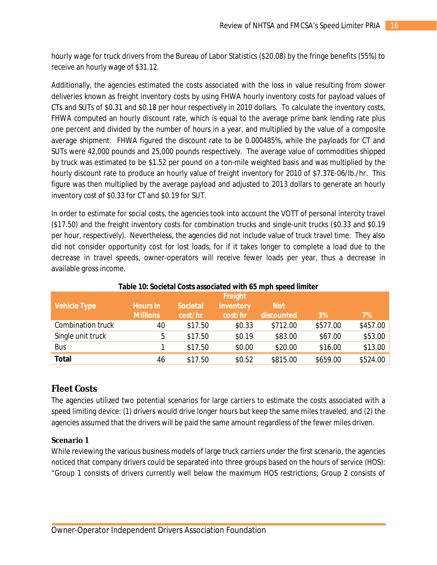hourly wage for truck drivers from the Bureau of Labor Statistics (\$20.08) by the fringe benefits (55%) to receive an hourly wage of \$31.12.

Additionally, the agencies estimated the costs associated with the loss in value resulting from slower deliveries known as freight inventory costs by using FHWA hourly inventory costs for payload values of CTs and SUTs of \$0.31 and \$0.18 per hour respectively in 2010 dollars. To calculate the inventory costs, FHWA computed an hourly discount rate, which is equal to the average prime bank lending rate plus one percent and divided by the number of hours in a year, and multiplied by the value of a composite average shipment. FHWA figured the discount rate to be 0.000485%, while the payloads for CT and SUTs were 42,000 pounds and 25,000 pounds respectively. The average value of commodities shipped by truck was estimated to be \$1.52 per pound on a ton-mile weighted basis and was multiplied by the hourly discount rate to produce an hourly value of freight inventory for 2010 of \$7.37E-06/lb./hr. This figure was then multiplied by the average payload and adjusted to 2013 dollars to generate an hourly inventory cost of \$0.33 for CT and \$0.19 for SUT.

In order to estimate for social costs, the agencies took into account the VOTT of personal intercity travel (\$17.50) and the freight inventory costs for combination trucks and single-unit trucks (\$0.33 and \$0.19 per hour, respectively). Nevertheless, the agencies did not include value of truck travel time. They also did not consider opportunity cost for lost loads, for if it takes longer to complete a load due to the decrease in travel speeds, owner-operators will receive fewer loads per year, thus a decrease in available gross income.

| Table To: Societal obsts associated with 69 mph speed immed |                 |                 |           |            |          |          |  |
|-------------------------------------------------------------|-----------------|-----------------|-----------|------------|----------|----------|--|
|                                                             | Freight         |                 |           |            |          |          |  |
| <b>Vehicle Type</b>                                         | <b>Hours in</b> | <b>Societal</b> | inventory | <b>Not</b> |          |          |  |
|                                                             | <b>Millions</b> | cost/hr         | cost/hr   | discounted | 3%       | 7%       |  |
| Combination truck                                           | 40              | \$17.50         | \$0.33    | \$712.00   | \$577.00 | \$457.00 |  |
| Single unit truck                                           | 5               | \$17.50         | \$0.19    | \$83.00    | \$67.00  | \$53.00  |  |
| <b>Bus</b>                                                  |                 | \$17.50         | \$0.00    | \$20.00    | \$16.00  | \$13.00  |  |
| <b>Total</b>                                                | 46              | \$17.50         | \$0.52    | \$815.00   | \$659.00 | \$524.00 |  |

#### **Table 10: Societal Costs associated with 65 mph speed limiter**

#### **Fleet Costs**

The agencies utilized two potential scenarios for large carriers to estimate the costs associated with a speed limiting device: (1) drivers would drive longer hours but keep the same miles traveled, and (2) the agencies assumed that the drivers will be paid the same amount regardless of the fewer miles driven.

#### **Scenario 1**

While reviewing the various business models of large truck carriers under the first scenario, the agencies noticed that company drivers could be separated into three groups based on the hours of service (HOS): "Group 1 consists of drivers currently well below the maximum HOS restrictions; Group 2 consists of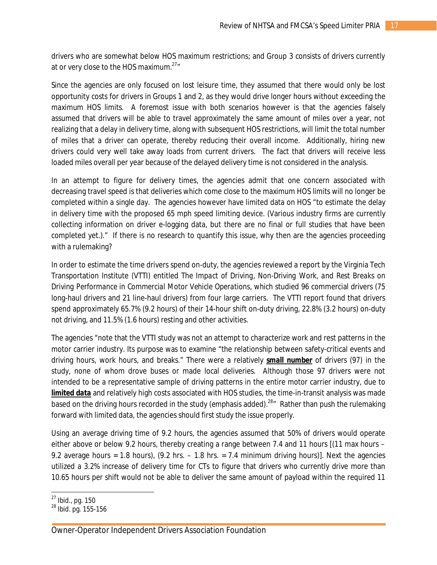drivers who are somewhat below HOS maximum restrictions; and Group 3 consists of drivers currently at or very close to the HOS maximum. $27''$ 

Since the agencies are only focused on lost leisure time, they assumed that there would only be lost opportunity costs for drivers in Groups 1 and 2, as they would drive longer hours without exceeding the maximum HOS limits. A foremost issue with both scenarios however is that the agencies falsely assumed that drivers will be able to travel approximately the same amount of miles over a year, not realizing that a delay in delivery time, along with subsequent HOS restrictions, will limit the total number of miles that a driver can operate, thereby reducing their overall income. Additionally, hiring new drivers could very well take away loads from current drivers. The fact that drivers will receive less loaded miles overall per year because of the delayed delivery time is not considered in the analysis.

In an attempt to figure for delivery times, the agencies admit that one concern associated with decreasing travel speed is that deliveries which come close to the maximum HOS limits will no longer be completed within a single day. The agencies however have limited data on HOS "to estimate the delay in delivery time with the proposed 65 mph speed limiting device. (Various industry firms are currently collecting information on driver e-logging data, but there are no final or full studies that have been completed yet.)." If there is no research to quantify this issue, why then are the agencies proceeding with a rulemaking?

In order to estimate the time drivers spend on-duty, the agencies reviewed a report by the Virginia Tech Transportation Institute (VTTI) entitled *The Impact of Driving, Non-Driving Work, and Rest Breaks on Driving Performance in Commercial Motor Vehicle Operations*, which studied 96 commercial drivers (75 long-haul drivers and 21 line-haul drivers) from four large carriers. The VTTI report found that drivers spend approximately 65.7% (9.2 hours) of their 14-hour shift on-duty driving, 22.8% (3.2 hours) on-duty not driving, and 11.5% (1.6 hours) resting and other activities.

The agencies "note that the VTTI study was not an attempt to characterize work and rest patterns in the motor carrier industry. Its purpose was to examine "the relationship between safety-critical events and driving hours, work hours, and breaks." There were a relatively *small number* of drivers (97) in the study, none of whom drove buses or made local deliveries. Although those 97 drivers were not intended to be a representative sample of driving patterns in the entire motor carrier industry, due to *limited data* and relatively high costs associated with HOS studies, the time-in-transit analysis was made based on the driving hours recorded in the study (emphasis added).<sup>28</sup>" Rather than push the rulemaking forward with limited data, the agencies should first study the issue properly.

Using an average driving time of 9.2 hours, the agencies assumed that 50% of drivers would operate either above or below 9.2 hours, thereby creating a range between 7.4 and 11 hours [(11 max hours – 9.2 average hours = 1.8 hours),  $(9.2 \text{ hrs.} - 1.8 \text{ hrs.} = 7.4 \text{ minimum driving hours})$ . Next the agencies utilized a 3.2% increase of delivery time for CTs to figure that drivers who currently drive more than 10.65 hours per shift would not be able to deliver the same amount of payload within the required 11

 $\overline{\phantom{a}}$ <sup>27</sup> Ibid., pg. 150

<sup>28</sup> Ibid. pg. 155-156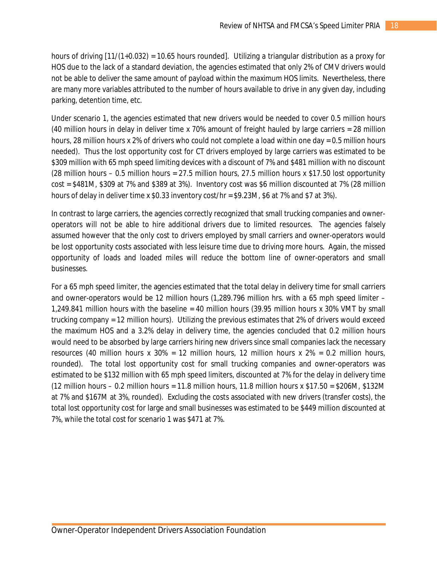hours of driving [11/(1+0.032) = 10.65 hours rounded]. Utilizing a triangular distribution as a proxy for HOS due to the lack of a standard deviation, the agencies estimated that only 2% of CMV drivers would not be able to deliver the same amount of payload within the maximum HOS limits. Nevertheless, there are many more variables attributed to the number of hours available to drive in any given day, including parking, detention time, etc.

Under scenario 1, the agencies estimated that new drivers would be needed to cover 0.5 million hours (40 million hours in delay in deliver time x 70% amount of freight hauled by large carriers = 28 million hours, 28 million hours x 2% of drivers who could not complete a load within one day = 0.5 million hours needed). Thus the lost opportunity cost for CT drivers employed by large carriers was estimated to be \$309 million with 65 mph speed limiting devices with a discount of 7% and \$481 million with no discount (28 million hours – 0.5 million hours = 27.5 million hours, 27.5 million hours x \$17.50 lost opportunity cost = \$481M, \$309 at 7% and \$389 at 3%). Inventory cost was \$6 million discounted at 7% (28 million hours of delay in deliver time x \$0.33 inventory cost/hr = \$9.23M, \$6 at 7% and \$7 at 3%).

In contrast to large carriers, the agencies correctly recognized that small trucking companies and owneroperators will not be able to hire additional drivers due to limited resources. The agencies falsely assumed however that the only cost to drivers employed by small carriers and owner-operators would be lost opportunity costs associated with less leisure time due to driving more hours. Again, the missed opportunity of loads and loaded miles will reduce the bottom line of owner-operators and small businesses.

For a 65 mph speed limiter, the agencies estimated that the total delay in delivery time for small carriers and owner-operators would be 12 million hours (1,289.796 million hrs. with a 65 mph speed limiter – 1,249.841 million hours with the baseline = 40 million hours (39.95 million hours x 30% VMT by small trucking company = 12 million hours). Utilizing the previous estimates that 2% of drivers would exceed the maximum HOS and a 3.2% delay in delivery time, the agencies concluded that 0.2 million hours would need to be absorbed by large carriers hiring new drivers since small companies lack the necessary resources (40 million hours x 30% = 12 million hours, 12 million hours x 2% = 0.2 million hours, rounded). The total lost opportunity cost for small trucking companies and owner-operators was estimated to be \$132 million with 65 mph speed limiters, discounted at 7% for the delay in delivery time (12 million hours – 0.2 million hours = 11.8 million hours, 11.8 million hours x \$17.50 = \$206M, \$132M at 7% and \$167M at 3%, rounded). Excluding the costs associated with new drivers (transfer costs), the total lost opportunity cost for large and small businesses was estimated to be \$449 million discounted at 7%, while the total cost for scenario 1 was \$471 at 7%.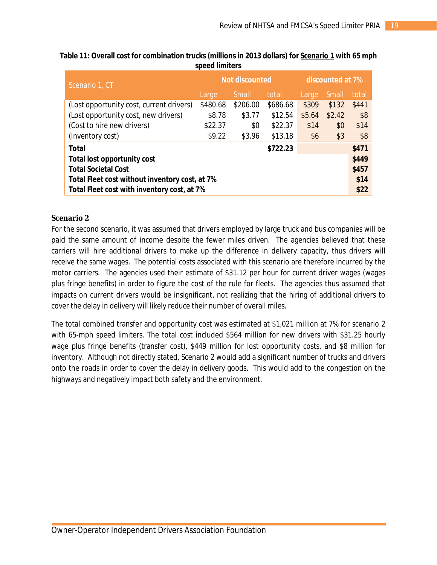| Scenario 1, CT                                 |          | Not discounted |          | discounted at 7% |        |       |  |
|------------------------------------------------|----------|----------------|----------|------------------|--------|-------|--|
|                                                | Large    | <b>Small</b>   | total    | Large            | Small  | total |  |
| (Lost opportunity cost, current drivers)       | \$480.68 | \$206.00       | \$686.68 | \$309            | \$132  | \$441 |  |
| (Lost opportunity cost, new drivers)           | \$8.78   | \$3.77         | \$12.54  | \$5.64           | \$2.42 | \$8   |  |
| (Cost to hire new drivers)                     | \$22.37  | \$0            | \$22.37  | \$14             | \$0    | \$14  |  |
| (Inventory cost)                               | \$9.22   | \$3.96         | \$13.18  | \$6              | \$3    | \$8   |  |
| <b>Total</b>                                   |          |                | \$722.23 |                  |        | \$471 |  |
| <b>Total lost opportunity cost</b>             |          |                |          |                  |        |       |  |
| <b>Total Societal Cost</b>                     |          |                |          |                  |        |       |  |
| Total Fleet cost without inventory cost, at 7% |          |                |          |                  |        |       |  |
| Total Fleet cost with inventory cost, at 7%    |          |                |          |                  |        |       |  |

#### **Table 11: Overall cost for combination trucks (millions in 2013 dollars) for** *Scenario 1* **with 65 mph speed limiters**

#### **Scenario 2**

For the second scenario, it was assumed that drivers employed by large truck and bus companies will be paid the same amount of income despite the fewer miles driven. The agencies believed that these carriers will hire additional drivers to make up the difference in delivery capacity, thus drivers will receive the same wages. The potential costs associated with this scenario are therefore incurred by the motor carriers. The agencies used their estimate of \$31.12 per hour for current driver wages (wages plus fringe benefits) in order to figure the cost of the rule for fleets. The agencies thus assumed that impacts on current drivers would be insignificant, not realizing that the hiring of additional drivers to cover the delay in delivery will likely reduce their number of overall miles.

The total combined transfer and opportunity cost was estimated at \$1,021 million at 7% for scenario 2 with 65-mph speed limiters. The total cost included \$564 million for new drivers with \$31.25 hourly wage plus fringe benefits (transfer cost), \$449 million for lost opportunity costs, and \$8 million for inventory. Although not directly stated, Scenario 2 would add a significant number of trucks and drivers onto the roads in order to cover the delay in delivery goods. This would add to the congestion on the highways and negatively impact both safety and the environment.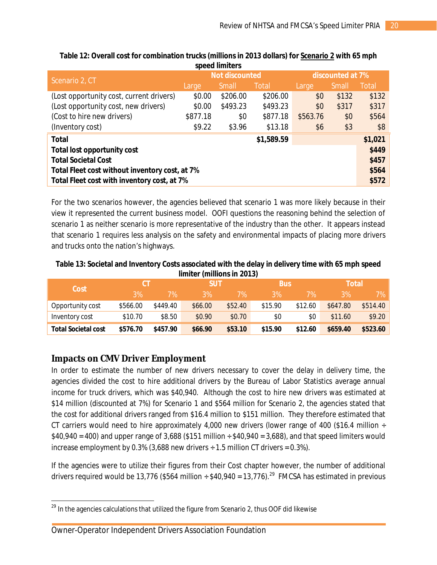|                                                |          | <b>Not discounted</b> |            | discounted at 7% |       |              |  |
|------------------------------------------------|----------|-----------------------|------------|------------------|-------|--------------|--|
| Scenario 2, CT                                 | Large    | Small                 | Total      | Large            | Small | <b>Total</b> |  |
| (Lost opportunity cost, current drivers)       | \$0.00   | \$206.00              | \$206.00   | \$0              | \$132 | \$132        |  |
| (Lost opportunity cost, new drivers)           | \$0.00   | \$493.23              | \$493.23   | \$0              | \$317 | \$317        |  |
| (Cost to hire new drivers)                     | \$877.18 | \$0                   | \$877.18   | \$563.76         | \$0   | \$564        |  |
| (Inventory cost)                               | \$9.22   | \$3.96                | \$13.18    | \$6              | \$3   | \$8          |  |
| <b>Total</b>                                   |          |                       | \$1,589.59 |                  |       | \$1,021      |  |
| <b>Total lost opportunity cost</b>             |          |                       |            |                  |       |              |  |
| <b>Total Societal Cost</b>                     |          |                       |            |                  |       |              |  |
| Total Fleet cost without inventory cost, at 7% |          |                       |            |                  |       |              |  |
| Total Fleet cost with inventory cost, at 7%    |          |                       |            |                  |       |              |  |

#### **Table 12: Overall cost for combination trucks (millions in 2013 dollars) for** *Scenario 2* **with 65 mph speed limiters**

For the two scenarios however, the agencies believed that scenario 1 was more likely because in their view it represented the current business model. OOFI questions the reasoning behind the selection of scenario 1 as neither scenario is more representative of the industry than the other. It appears instead that scenario 1 requires less analysis on the safety and environmental impacts of placing more drivers and trucks onto the nation's highways.

#### **Table 13: Societal and Inventory Costs associated with the delay in delivery time with 65 mph speed limiter (millions in 2013)**

| Cost                       |          |          |         | <b>SUT</b> |         | <b>Bus</b> |          | Total    |  |
|----------------------------|----------|----------|---------|------------|---------|------------|----------|----------|--|
|                            | 3%       | 7%\      | 3%      | 7%         | 3%      | 7%         | 3%       | 7%       |  |
| Opportunity cost           | \$566.00 | \$449.40 | \$66.00 | \$52.40    | \$15.90 | \$12.60    | \$647.80 | \$514.40 |  |
| Inventory cost             | \$10.70  | \$8.50   | \$0.90  | \$0.70     | \$0     | \$0        | \$11.60  | \$9.20   |  |
| <b>Total Societal cost</b> | \$576.70 | \$457.90 | \$66.90 | \$53.10    | \$15.90 | \$12.60    | \$659.40 | \$523.60 |  |

# **Impacts on CMV Driver Employment**

In order to estimate the number of new drivers necessary to cover the delay in delivery time, the agencies divided the cost to hire additional drivers by the Bureau of Labor Statistics average annual income for truck drivers, which was \$40,940. Although the cost to hire new drivers was estimated at \$14 million (discounted at 7%) for Scenario 1 and \$564 million for Scenario 2, the agencies stated that the cost for additional drivers ranged from \$16.4 million to \$151 million. They therefore estimated that CT carriers would need to hire approximately 4,000 new drivers (lower range of 400 (\$16.4 million  $\div$  $$40,940 = 400$ ) and upper range of 3,688 (\$151 million  $\div$  \$40,940 = 3,688), and that speed limiters would increase employment by 0.3% (3,688 new drivers  $\div$  1.5 million CT drivers = 0.3%).

If the agencies were to utilize their figures from their Cost chapter however, the number of additional drivers required would be 13,776 (\$564 million ÷ \$40,940 = 13,776).<sup>29</sup> FMCSA has estimated in previous

 $\overline{a}$  $^{29}$  In the agencies calculations that utilized the figure from Scenario 2, thus OOF did likewise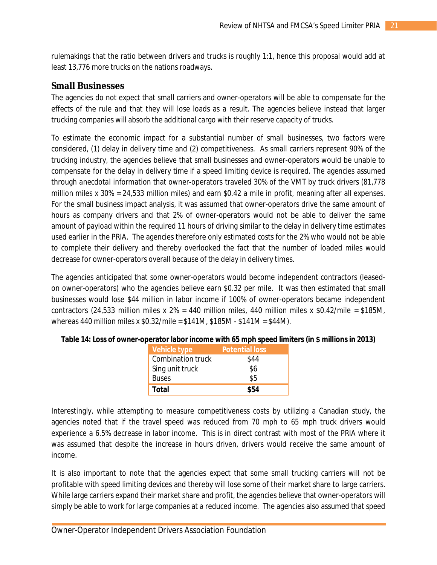rulemakings that the ratio between drivers and trucks is roughly 1:1, hence this proposal would add at least 13,776 more trucks on the nations roadways.

#### **Small Businesses**

The agencies do not expect that small carriers and owner-operators will be able to compensate for the effects of the rule and that they will lose loads as a result. The agencies believe instead that larger trucking companies will absorb the additional cargo with their reserve capacity of trucks.

To estimate the economic impact for a substantial number of small businesses, two factors were considered, (1) delay in delivery time and (2) competitiveness. As small carriers represent 90% of the trucking industry, the agencies believe that small businesses and owner-operators would be unable to compensate for the delay in delivery time if a speed limiting device is required. The agencies assumed through *anecdotal* information that owner-operators traveled 30% of the VMT by truck drivers (81,778 million miles x 30% = 24,533 million miles) and earn \$0.42 a mile in profit, meaning after all expenses. For the small business impact analysis, it was assumed that owner-operators drive the same amount of hours as company drivers and that 2% of owner-operators would not be able to deliver the same amount of payload within the required 11 hours of driving similar to the delay in delivery time estimates used earlier in the PRIA. The agencies therefore only estimated costs for the 2% who would not be able to complete their delivery and thereby overlooked the fact that the number of loaded miles would decrease for owner-operators overall because of the delay in delivery times.

The agencies anticipated that some owner-operators would become independent contractors (leasedon owner-operators) who the agencies believe earn \$0.32 per mile. It was then estimated that small businesses would lose \$44 million in labor income if 100% of owner-operators became independent contractors (24,533 million miles x  $2\% = 440$  million miles, 440 million miles x \$0.42/mile = \$185M, whereas 440 million miles x \$0.32/mile = \$141M, \$185M - \$141M = \$44M).

| Vehicle type             | <b>Potential loss</b> |
|--------------------------|-----------------------|
| <b>Combination truck</b> | \$44                  |
| Sing unit truck          | \$6                   |
| <b>Buses</b>             | \$5                   |
| <b>Total</b>             | \$54                  |

**Table 14: Loss of owner-operator labor income with 65 mph speed limiters (in \$ millions in 2013)**

Interestingly, while attempting to measure competitiveness costs by utilizing a Canadian study, the agencies noted that if the travel speed was reduced from 70 mph to 65 mph truck drivers would experience a 6.5% decrease in labor income. This is in direct contrast with most of the PRIA where it was assumed that despite the increase in hours driven, drivers would receive the same amount of income.

It is also important to note that the agencies expect that some small trucking carriers will *not* be profitable with speed limiting devices and thereby will lose some of their market share to large carriers. While large carriers expand their market share and profit, the agencies believe that owner-operators will simply be able to work for large companies at a reduced income. The agencies also assumed that speed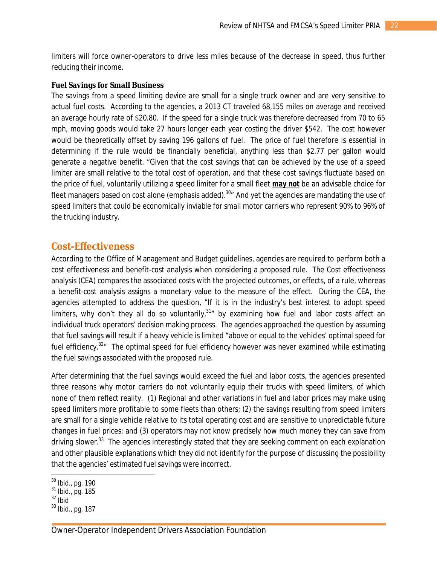limiters will force owner-operators to drive less miles because of the decrease in speed, thus further reducing their income.

#### **Fuel Savings for Small Business**

The savings from a speed limiting device are small for a single truck owner and are very sensitive to actual fuel costs. According to the agencies, a 2013 CT traveled 68,155 miles on average and received an average hourly rate of \$20.80. If the speed for a single truck was therefore decreased from 70 to 65 mph, moving goods would take 27 hours longer each year costing the driver \$542. The cost however would be theoretically offset by saving 196 gallons of fuel. The price of fuel therefore is essential in determining if the rule would be financially beneficial, anything less than \$2.77 per gallon would generate a negative benefit. "Given that the cost savings that can be achieved by the use of a speed limiter are small relative to the total cost of operation, and that these cost savings fluctuate based on the price of fuel, voluntarily utilizing a speed limiter for a small fleet *may not* be an advisable choice for fleet managers based on cost alone (emphasis added). $^{30}$  And yet the agencies are mandating the use of speed limiters that could be economically inviable for small motor carriers who represent 90% to 96% of the trucking industry.

#### **Cost-Effectiveness**

According to the Office of Management and Budget guidelines, agencies are required to perform both a cost effectiveness and benefit-cost analysis when considering a proposed rule. The Cost effectiveness analysis (CEA) compares the associated costs with the projected outcomes, or effects, of a rule, whereas a benefit-cost analysis assigns a monetary value to the measure of the effect. During the CEA, the agencies attempted to address the question, "If it is in the industry's best interest to adopt speed limiters, why don't they all do so voluntarily,  $31\pi$  by examining how fuel and labor costs affect an individual truck operators' decision making process. The agencies approached the question by assuming that fuel savings will result if a heavy vehicle is limited "above or equal to the vehicles' optimal speed for fuel efficiency.<sup>32</sup><sup>*m*</sup> The optimal speed for fuel efficiency however was never examined while estimating the fuel savings associated with the proposed rule.

After determining that the fuel savings would exceed the fuel and labor costs, the agencies presented three reasons why motor carriers do not voluntarily equip their trucks with speed limiters, of which none of them reflect reality. (1) Regional and other variations in fuel and labor prices may make using speed limiters more profitable to some fleets than others; (2) the savings resulting from speed limiters are small for a single vehicle relative to its total operating cost and are sensitive to unpredictable future changes in fuel prices; and (3) operators may not know precisely how much money they can save from driving slower.<sup>33</sup> The agencies interestingly stated that they are seeking comment on each explanation and other plausible explanations which they did not identify for the purpose of discussing the possibility that the agencies' estimated fuel savings were incorrect.

 $\overline{a}$ 

 $^{30}$  Ibid., pg. 190

<sup>31</sup> Ibid., pg. 185

 $32$  Ibid

<sup>33</sup> Ibid., pg. 187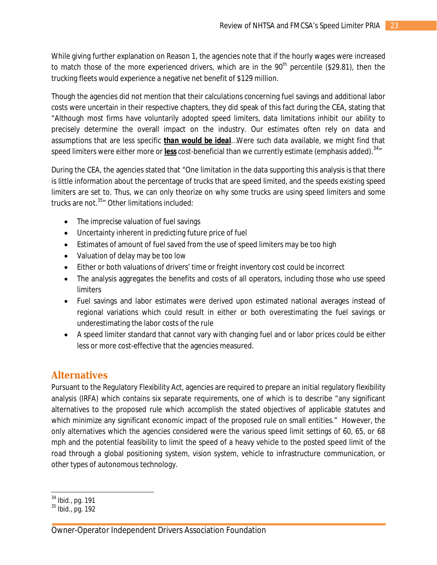While giving further explanation on Reason 1, the agencies note that if the hourly wages were increased to match those of the more experienced drivers, which are in the  $90<sup>th</sup>$  percentile (\$29.81), then the trucking fleets would experience a negative net benefit of \$129 million.

Though the agencies did not mention that their calculations concerning fuel savings and additional labor costs were uncertain in their respective chapters, they did speak of this fact during the CEA, stating that "Although most firms have voluntarily adopted speed limiters, data limitations inhibit our ability to precisely determine the overall impact on the industry. Our estimates often rely on data and assumptions that are less specific *than would be ideal*…Were such data available, we might find that speed limiters were either more or *less* cost-beneficial than we currently estimate (emphasis added). 34"

During the CEA, the agencies stated that "One limitation in the data supporting this analysis is that there is little information about the percentage of trucks that are speed limited, and the speeds existing speed limiters are set to. Thus, we can only theorize on why some trucks are using speed limiters and some trucks are not. <sup>35</sup>" Other limitations included:

- The imprecise valuation of fuel savings
- Uncertainty inherent in predicting future price of fuel
- Estimates of amount of fuel saved from the use of speed limiters may be too high
- Valuation of delay may be too low
- Either or both valuations of drivers' time or freight inventory cost could be incorrect
- The analysis aggregates the benefits and costs of all operators, including those who use speed limiters
- Fuel savings and labor estimates were derived upon estimated national averages instead of regional variations which could result in either or both overestimating the fuel savings or underestimating the labor costs of the rule
- A speed limiter standard that cannot vary with changing fuel and or labor prices could be either less or more cost-effective that the agencies measured.

# **Alternatives**

Pursuant to the Regulatory Flexibility Act, agencies are required to prepare an initial regulatory flexibility analysis (IRFA) which contains six separate requirements, one of which is to describe "any significant alternatives to the proposed rule which accomplish the stated objectives of applicable statutes and which minimize any significant economic impact of the proposed rule on small entities." However, the only alternatives which the agencies considered were the various speed limit settings of 60, 65, or 68 mph and the potential feasibility to limit the speed of a heavy vehicle to the posted speed limit of the road through a global positioning system, vision system, vehicle to infrastructure communication, or other types of autonomous technology.

 $\overline{\phantom{a}}$  $34$  Ibid., pg. 191

<sup>35</sup> Ibid., pg. 192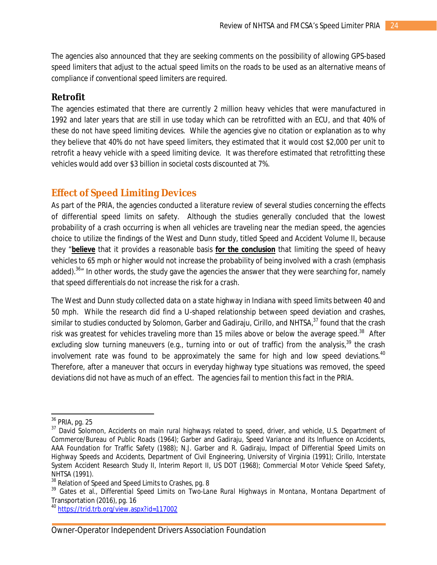The agencies also announced that they are seeking comments on the possibility of allowing GPS-based speed limiters that adjust to the actual speed limits on the roads to be used as an alternative means of compliance if conventional speed limiters are required.

#### **Retrofit**

The agencies estimated that there are currently 2 million heavy vehicles that were manufactured in 1992 and later years that are still in use today which can be retrofitted with an ECU, and that 40% of these do not have speed limiting devices. While the agencies give no citation or explanation as to why they believe that 40% do not have speed limiters, they estimated that it would cost \$2,000 per unit to retrofit a heavy vehicle with a speed limiting device. It was therefore estimated that retrofitting these vehicles would add over \$3 billion in societal costs discounted at 7%.

# **Effect of Speed Limiting Devices**

As part of the PRIA, the agencies conducted a literature review of several studies concerning the effects of differential speed limits on safety. Although the studies generally concluded that the lowest probability of a crash occurring is when all vehicles are traveling near the median speed, the agencies choice to utilize the findings of the West and Dunn study, titled *Speed and Accident Volume II*, because they "*believe* that it provides a reasonable basis *for the conclusion* that limiting the speed of heavy vehicles to 65 mph or higher would not increase the probability of being involved with a crash (emphasis added).<sup>36</sup>" In other words, the study gave the agencies the answer that they were searching for, namely that speed differentials do not increase the risk for a crash.

The West and Dunn study collected data on a state highway in Indiana with speed limits between 40 and 50 mph. While the research did find a U-shaped relationship between speed deviation and crashes, similar to studies conducted by Solomon, Garber and Gadiraju, Cirillo, and NHTSA,<sup>37</sup> found that the crash risk was greatest for vehicles traveling more than 15 miles above or below the average speed.<sup>38</sup> After excluding slow turning maneuvers (e.g., turning into or out of traffic) from the analysis,<sup>39</sup> the crash involvement rate was found to be approximately the same for high and low speed deviations.<sup>40</sup> Therefore, after a maneuver that occurs in everyday highway type situations was removed, the speed deviations did not have as much of an effect. The agencies fail to mention this fact in the PRIA.

 $\overline{a}$ 

 $36$  PRIA, pg. 25

<sup>37</sup> David Solomon, *Accidents on main rural highways related to speed, driver, and vehicle*, U.S. Department of Commerce/Bureau of Public Roads (1964); Garber and Gadiraju, *Speed Variance and its Influence on Accidents*, AAA Foundation for Traffic Safety (1988); N.J. Garber and R. Gadiraju, *Impact of Differential Speed Limits on Highway Speeds and Accidents*, Department of Civil Engineering, University of Virginia (1991); Cirillo, *Interstate System Accident Research Study II, Interim Report II*, US DOT (1968); *Commercial Motor Vehicle Speed Safety*, NHTSA (1991).

<sup>&</sup>lt;sup>38</sup> Relation of Speed and Speed Limits to Crashes, pg. 8

<sup>39</sup> Gates et al., *Differential Speed Limits on Two-Lane Rural Highways in Montana,* Montana Department of Transportation (2016), pg. 16

<sup>40</sup> <https://trid.trb.org/view.aspx?id=117002>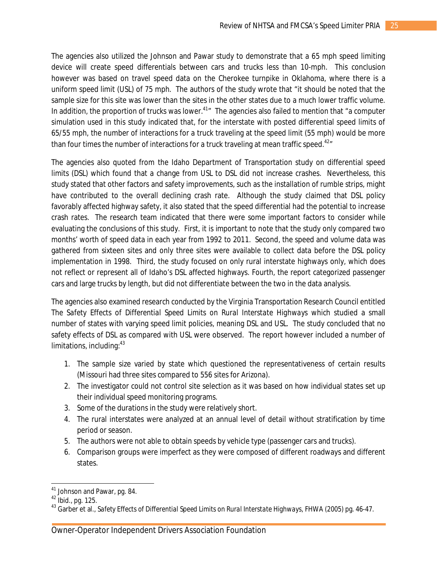The agencies also utilized the Johnson and Pawar study to demonstrate that a 65 mph speed limiting device will create speed differentials between cars and trucks less than 10-mph. This conclusion however was based on travel speed data on the Cherokee turnpike in Oklahoma, where there is a uniform speed limit (USL) of 75 mph. The authors of the study wrote that "it should be noted that the sample size for this site was lower than the sites in the other states due to a much lower traffic volume. In addition, the proportion of trucks was lower.<sup>41</sup><sup>n</sup> The agencies also failed to mention that "a computer simulation used in this study indicated that, for the interstate with posted differential speed limits of 65/55 mph, the number of interactions for a truck traveling at the speed limit (55 mph) would be more than four times the number of interactions for a truck traveling at mean traffic speed.<sup>42</sup>

The agencies also quoted from the Idaho Department of Transportation study on differential speed limits (DSL) which found that a change from USL to DSL did not increase crashes. Nevertheless, this study stated that other factors and safety improvements, such as the installation of rumble strips, might have contributed to the overall declining crash rate. Although the study claimed that DSL policy favorably affected highway safety, it also stated that the speed differential had the potential to increase crash rates. The research team indicated that there were some important factors to consider while evaluating the conclusions of this study. First, it is important to note that the study only compared two months' worth of speed data in each year from 1992 to 2011. Second, the speed and volume data was gathered from sixteen sites and only three sites were available to collect data before the DSL policy implementation in 1998. Third, the study focused on only rural interstate highways only, which does not reflect or represent all of Idaho's DSL affected highways. Fourth, the report categorized passenger cars and large trucks by length, but did not differentiate between the two in the data analysis.

The agencies also examined research conducted by the Virginia Transportation Research Council entitled *The Safety Effects of Differential Speed Limits on Rural Interstate Highways* which studied a small number of states with varying speed limit policies, meaning DSL and USL. The study concluded that no safety effects of DSL as compared with USL were observed. The report however included a number of limitations, including: $43$ 

- 1. The sample size varied by state which questioned the representativeness of certain results (Missouri had three sites compared to 556 sites for Arizona).
- 2. The investigator could not control site selection as it was based on how individual states set up their individual speed monitoring programs.
- 3. Some of the durations in the study were relatively short.
- 4. The rural interstates were analyzed at an annual level of detail without stratification by time period or season.
- 5. The authors were not able to obtain speeds by vehicle type (passenger cars and trucks).
- 6. Comparison groups were imperfect as they were composed of different roadways and different states.

 $\overline{a}$ 

<sup>&</sup>lt;sup>41</sup> Johnson and Pawar, pg. 84.

<sup>&</sup>lt;sup>42</sup> Ibid., pg. 125.

<sup>43</sup> Garber et al., *Safety Effects of Differential Speed Limits on Rural Interstate Highways*, FHWA (2005) pg. 46-47.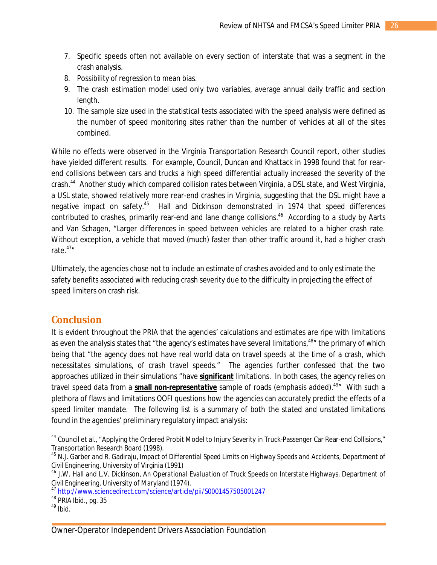- 7. Specific speeds often not available on every section of interstate that was a segment in the crash analysis.
- 8. Possibility of regression to mean bias.
- 9. The crash estimation model used only two variables, average annual daily traffic and section length.
- 10. The sample size used in the statistical tests associated with the speed analysis were defined as the number of speed monitoring sites rather than the number of vehicles at all of the sites combined.

While no effects were observed in the Virginia Transportation Research Council report, other studies have yielded different results. For example, Council, Duncan and Khattack in 1998 found that for rearend collisions between cars and trucks a high speed differential actually increased the severity of the crash.<sup>44</sup> Another study which compared collision rates between Virginia, a DSL state, and West Virginia, a USL state, showed relatively more rear-end crashes in Virginia, suggesting that the DSL might have a negative impact on safety.<sup>45</sup> Hall and Dickinson demonstrated in 1974 that speed differences contributed to crashes, primarily rear-end and lane change collisions.<sup>46</sup> According to a study by Aarts and Van Schagen, "Larger differences in speed between vehicles are related to a higher crash rate. Without exception, a vehicle that moved (much) faster than other traffic around it, had a higher crash rate. $47''$ 

Ultimately, the agencies chose not to include an estimate of crashes avoided and to only estimate the safety benefits associated with reducing crash severity due to the difficulty in projecting the effect of speed limiters on crash risk.

# **Conclusion**

It is evident throughout the PRIA that the agencies' calculations and estimates are ripe with limitations as even the analysis states that "the agency's estimates have several limitations,<sup>48</sup>" the primary of which being that "the agency does not have real world data on travel speeds at the time of a crash, which necessitates simulations, of crash travel speeds." The agencies further confessed that the two approaches utilized in their simulations "have *significant* limitations. In both cases, the agency relies on travel speed data from a **small non-representative** sample of roads (emphasis added).<sup>49</sup>" With such a plethora of flaws and limitations OOFI questions how the agencies can accurately predict the effects of a speed limiter mandate. The following list is a summary of both the stated and unstated limitations found in the agencies' preliminary regulatory impact analysis:

 $\overline{\phantom{a}}$ 

<sup>&</sup>lt;sup>44</sup> Council et al., "Applying the Ordered Probit Model to Injury Severity in Truck-Passenger Car Rear-end Collisions," Transportation Research Board (1998).

<sup>45</sup> N.J. Garber and R. Gadiraju, *Impact of Differential Speed Limits on Highway Speeds and Accidents*, Department of Civil Engineering, University of Virginia (1991)

<sup>46</sup> J.W. Hall and L.V. Dickinson, *An Operational Evaluation of Truck Speeds on Interstate Highways*, Department of Civil Engineering, University of Maryland (1974).

<sup>47</sup> <http://www.sciencedirect.com/science/article/pii/S0001457505001247>

<sup>48</sup> PRIA Ibid., pg. 35

 $49$  Ibid.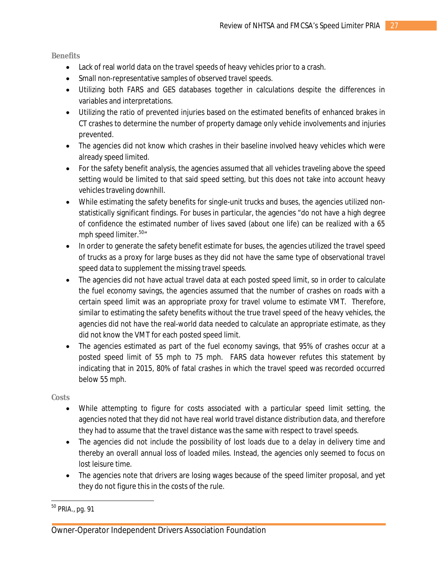*Benefits*

- Lack of real world data on the travel speeds of heavy vehicles prior to a crash.
- Small non-representative samples of observed travel speeds.
- Utilizing both FARS and GES databases together in calculations despite the differences in variables and interpretations.
- Utilizing the ratio of prevented injuries based on the estimated benefits of enhanced brakes in CT crashes to determine the number of property damage only vehicle involvements and injuries prevented.
- The agencies did not know which crashes in their baseline involved heavy vehicles which were already speed limited.
- For the safety benefit analysis, the agencies assumed that all vehicles traveling above the speed setting would be limited to that said speed setting, but this does not take into account heavy vehicles traveling downhill.
- While estimating the safety benefits for single-unit trucks and buses, the agencies utilized nonstatistically significant findings. For buses in particular, the agencies "do not have a high degree of confidence the estimated number of lives saved (about one life) can be realized with a 65 mph speed limiter.<sup>50</sup>
- In order to generate the safety benefit estimate for buses, the agencies utilized the travel speed of trucks as a proxy for large buses as they did not have the same type of observational travel speed data to supplement the missing travel speeds.
- The agencies did not have actual travel data at each posted speed limit, so in order to calculate the fuel economy savings, the agencies assumed that the number of crashes on roads with a certain speed limit was an appropriate proxy for travel volume to estimate VMT. Therefore, similar to estimating the safety benefits without the true travel speed of the heavy vehicles, the agencies did not have the real-world data needed to calculate an appropriate estimate, as they did not know the VMT for each posted speed limit.
- The agencies estimated as part of the fuel economy savings, that 95% of crashes occur at a posted speed limit of 55 mph to 75 mph. FARS data however refutes this statement by indicating that in 2015, 80% of fatal crashes in which the travel speed was recorded occurred below 55 mph.

*Costs*

- While attempting to figure for costs associated with a particular speed limit setting, the agencies noted that they did not have real world travel distance distribution data, and therefore they had to assume that the travel distance was the same with respect to travel speeds.
- The agencies did not include the possibility of lost loads due to a delay in delivery time and thereby an overall annual loss of loaded miles. Instead, the agencies only seemed to focus on lost leisure time.
- The agencies note that drivers are losing wages because of the speed limiter proposal, and yet they do not figure this in the costs of the rule.

 $\overline{a}$ 

<sup>&</sup>lt;sup>50</sup> PRIA., pg. 91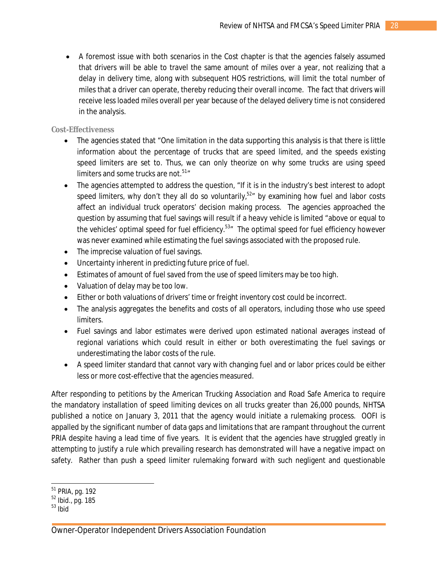A foremost issue with both scenarios in the Cost chapter is that the agencies falsely assumed that drivers will be able to travel the same amount of miles over a year, not realizing that a delay in delivery time, along with subsequent HOS restrictions, will limit the total number of miles that a driver can operate, thereby reducing their overall income. The fact that drivers will receive less loaded miles overall per year because of the delayed delivery time is not considered in the analysis.

#### *Cost-Effectiveness*

- The agencies stated that "One limitation in the data supporting this analysis is that there is little information about the percentage of trucks that are speed limited, and the speeds existing speed limiters are set to. Thus, we can only theorize on why some trucks are using speed limiters and some trucks are not.<sup>51</sup>″
- The agencies attempted to address the question, "If it is in the industry's best interest to adopt speed limiters, why don't they all do so voluntarily, $52<sup>m</sup>$  by examining how fuel and labor costs affect an individual truck operators' decision making process. The agencies approached the question by assuming that fuel savings will result if a heavy vehicle is limited "above or equal to the vehicles' optimal speed for fuel efficiency.<sup>53</sup><sup>*m*</sup> The optimal speed for fuel efficiency however was never examined while estimating the fuel savings associated with the proposed rule.
- The imprecise valuation of fuel savings.
- Uncertainty inherent in predicting future price of fuel.
- Estimates of amount of fuel saved from the use of speed limiters may be too high.
- Valuation of delay may be too low.
- Either or both valuations of drivers' time or freight inventory cost could be incorrect.
- The analysis aggregates the benefits and costs of all operators, including those who use speed limiters.
- Fuel savings and labor estimates were derived upon estimated national averages instead of regional variations which could result in either or both overestimating the fuel savings or underestimating the labor costs of the rule.
- A speed limiter standard that cannot vary with changing fuel and or labor prices could be either less or more cost-effective that the agencies measured.

After responding to petitions by the American Trucking Association and Road Safe America to require the mandatory installation of speed limiting devices on all trucks greater than 26,000 pounds, NHTSA published a notice on January 3, 2011 that the agency would initiate a rulemaking process. OOFI is appalled by the significant number of data gaps and limitations that are rampant throughout the current PRIA despite having a lead time of five years. It is evident that the agencies have struggled greatly in attempting to justify a rule which prevailing research has demonstrated will have a negative impact on safety. Rather than push a speed limiter rulemaking forward with such negligent and questionable

 $\overline{a}$ <sup>51</sup> PRIA, pg. 192

<sup>52</sup> Ibid., pg. 185

 $53$  Ibid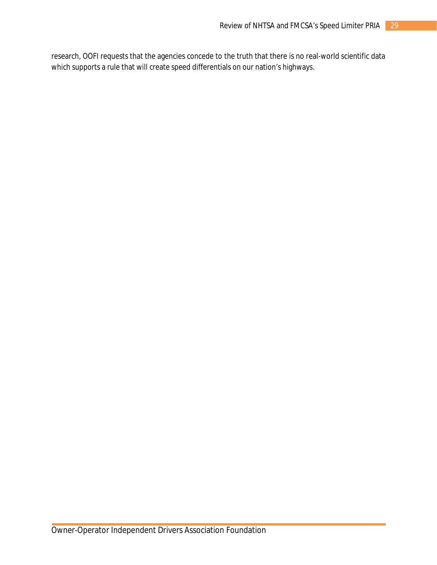research, OOFI requests that the agencies concede to the truth that there is no real-world scientific data which supports a rule that will create speed differentials on our nation's highways.